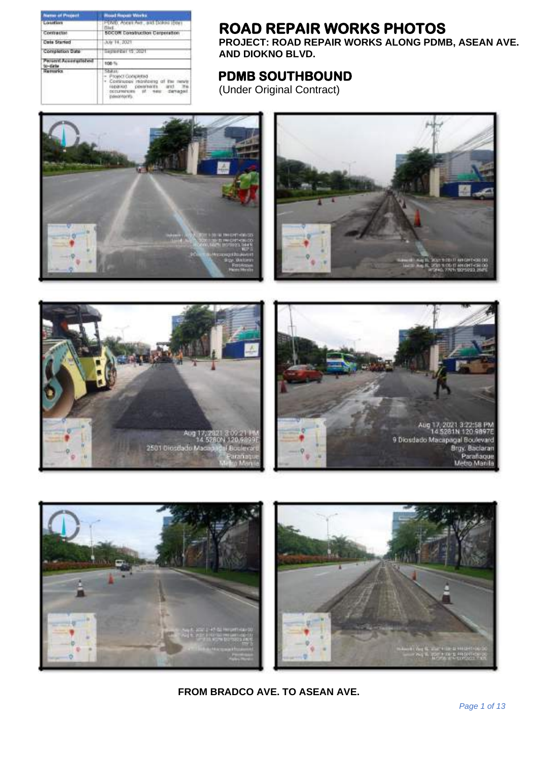| <b>Name of Propert</b> | <b>Mood Hopes Works</b>                                        |
|------------------------|----------------------------------------------------------------|
| <b>LOWING LIVE</b>     | PDVD, Ascenting, and Dollar Every<br><b>Blad.</b>              |
| Contractor             | SOCON Construction Cerperation                                 |
| <b>Cata Started</b>    | July 14, 2021                                                  |
| Completion Date:       | <b>TRAPPARENT 15, 2021</b>                                     |
| $0 - 0$ at 14          | 106                                                            |
|                        | * Communes.<br><b>LEIGHBOOT</b><br><b>Independent Mutual M</b> |

## **ROAD REPAIR WORKS PHOTOS**

**PROJECT: ROAD REPAIR WORKS ALONG PDMB, ASEAN AVE. AND DIOKNO BLVD.**

## **PDMB SOUTHBOUND**

(Under Original Contract)









**FROM BRADCO AVE. TO ASEAN AVE.**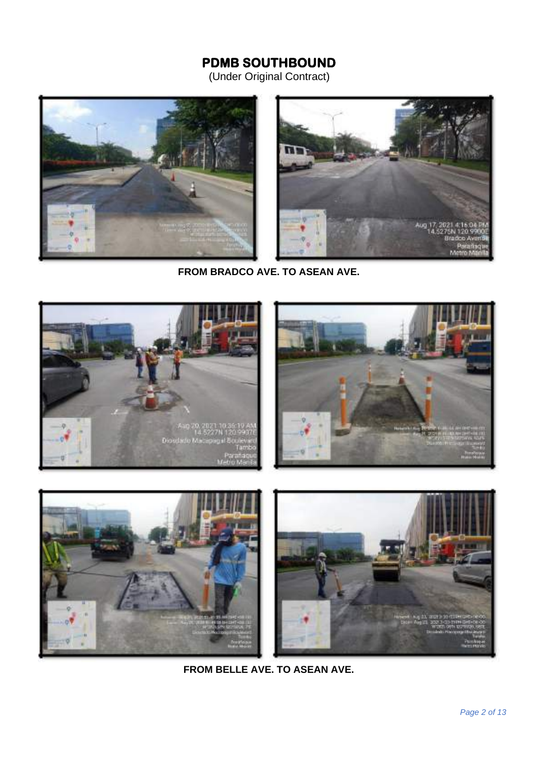## **PDMB SOUTHBOUND**

(Under Original Contract)



**FROM BRADCO AVE. TO ASEAN AVE.**



**FROM BELLE AVE. TO ASEAN AVE.**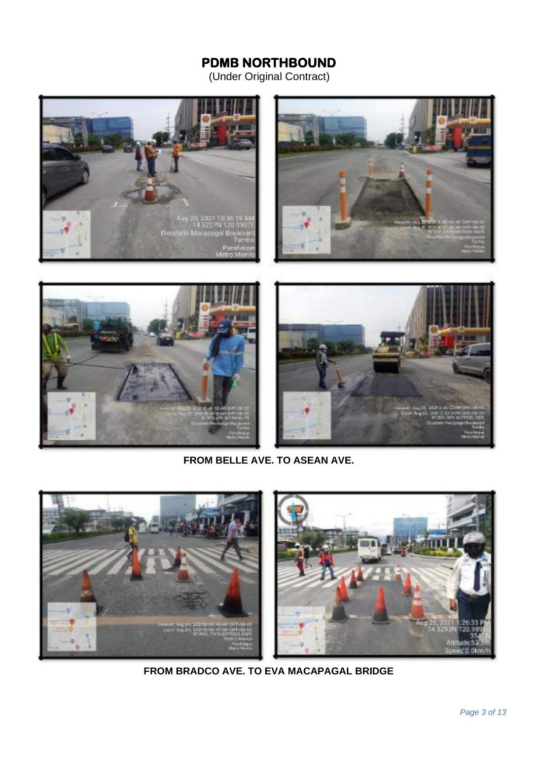(Under Original Contract)







**FROM BELLE AVE. TO ASEAN AVE.**



**FROM BRADCO AVE. TO EVA MACAPAGAL BRIDGE**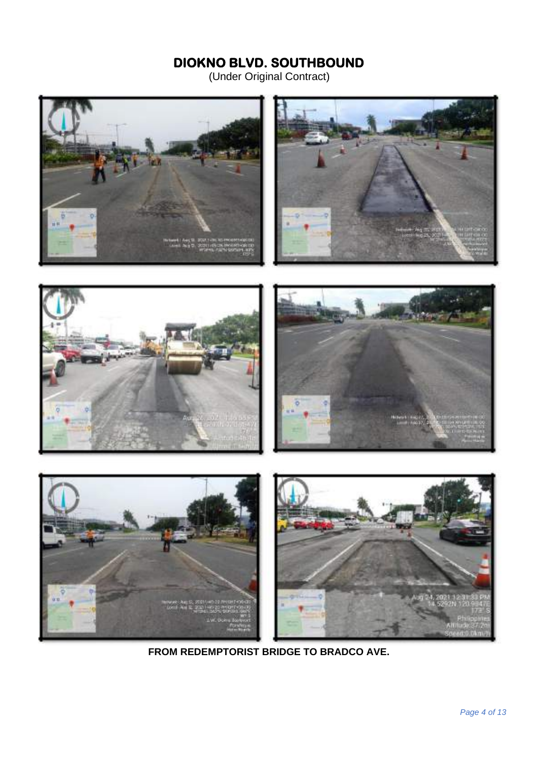(Under Original Contract)





**FROM REDEMPTORIST BRIDGE TO BRADCO AVE.**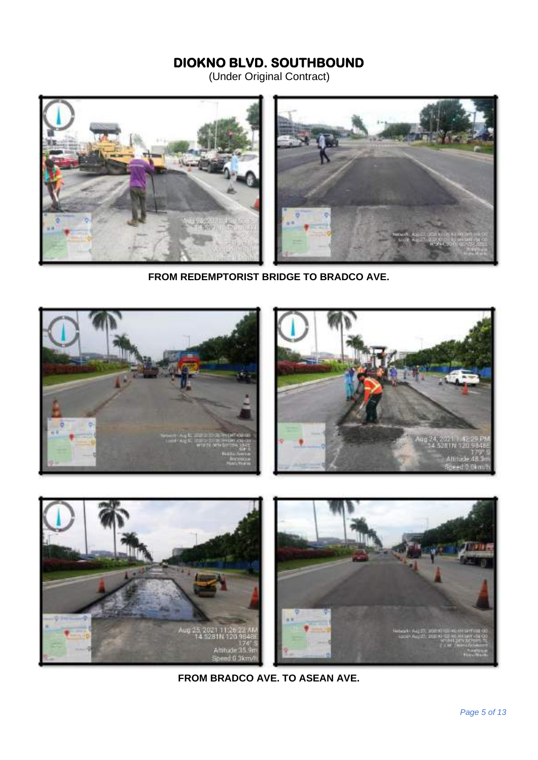(Under Original Contract)



**FROM REDEMPTORIST BRIDGE TO BRADCO AVE.**



**FROM BRADCO AVE. TO ASEAN AVE.**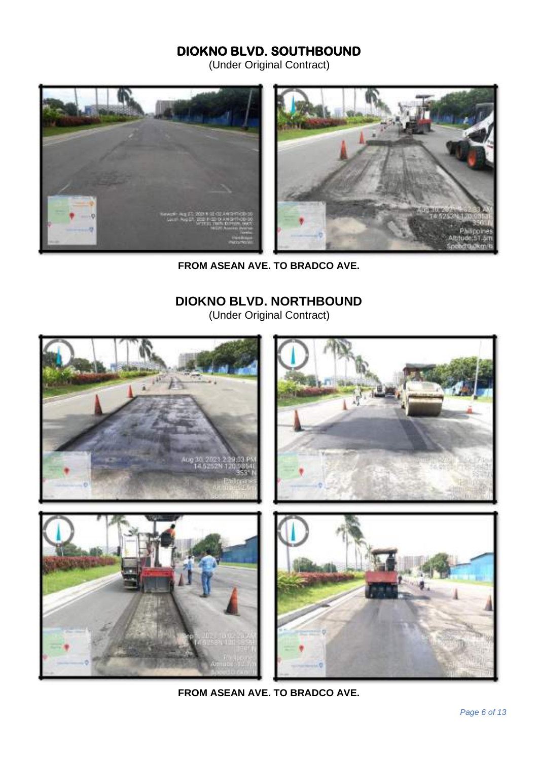(Under Original Contract)



**FROM ASEAN AVE. TO BRADCO AVE.**

## **DIOKNO BLVD. NORTHBOUND**

(Under Original Contract)



**FROM ASEAN AVE. TO BRADCO AVE.**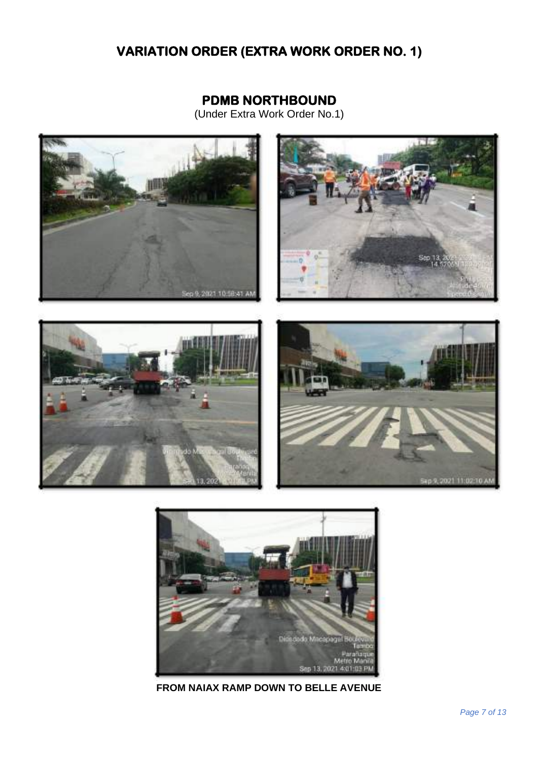# **VARIATION ORDER (EXTRA WORK ORDER NO. 1)**

### **PDMB NORTHBOUND**

(Under Extra Work Order No.1)





**FROM NAIAX RAMP DOWN TO BELLE AVENUE**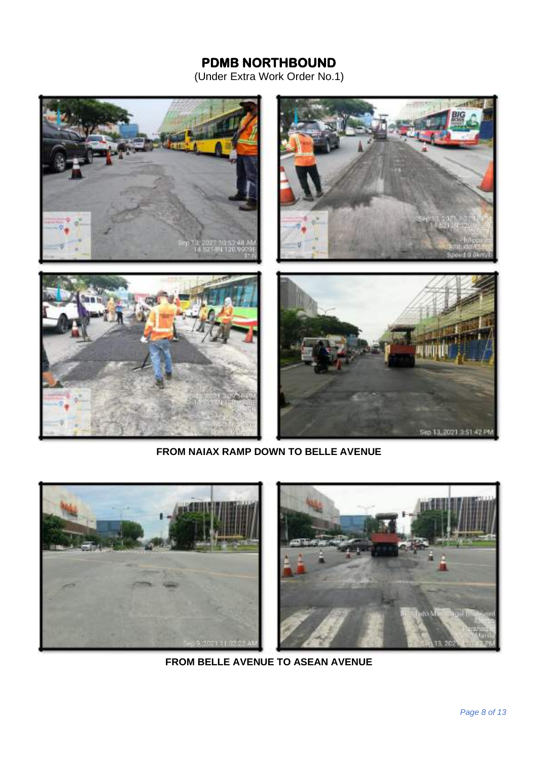

**FROM NAIAX RAMP DOWN TO BELLE AVENUE**



**FROM BELLE AVENUE TO ASEAN AVENUE**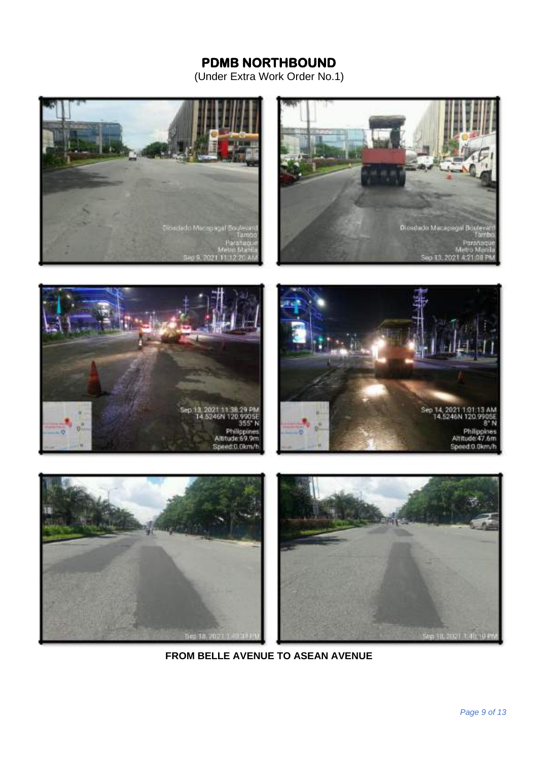









**FROM BELLE AVENUE TO ASEAN AVENUE**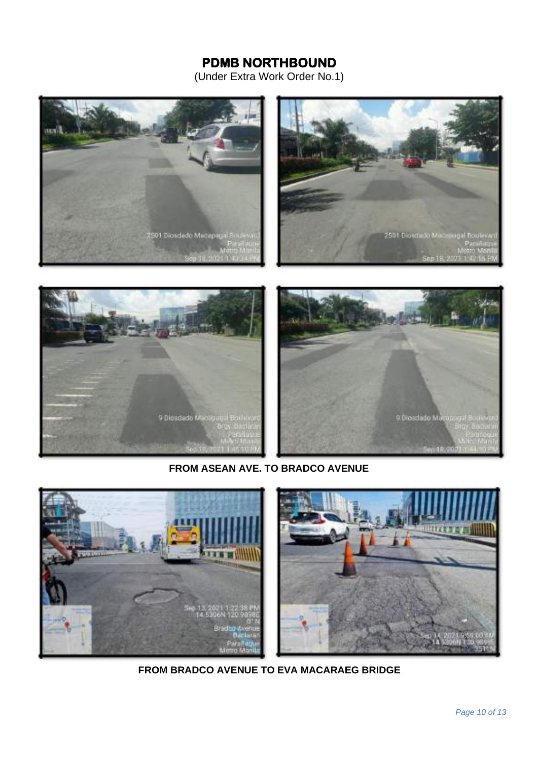(Under Extra Work Order No.1)





#### **FROM ASEAN AVE. TO BRADCO AVENUE**



**FROM BRADCO AVENUE TO EVA MACARAEG BRIDGE**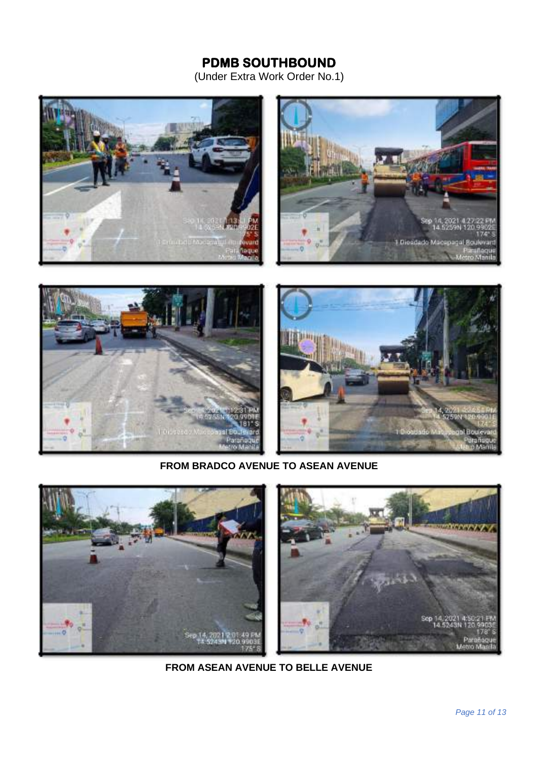## **PDMB SOUTHBOUND**

(Under Extra Work Order No.1)





#### **FROM BRADCO AVENUE TO ASEAN AVENUE**

![](_page_10_Picture_5.jpeg)

**FROM ASEAN AVENUE TO BELLE AVENUE**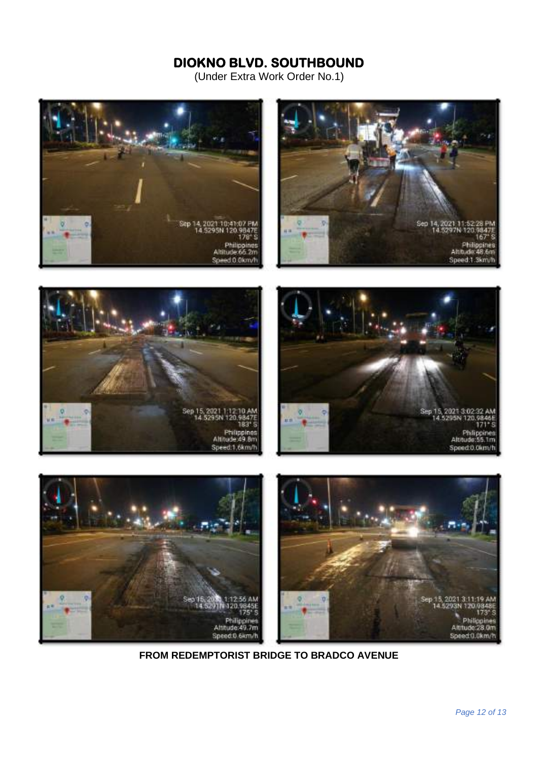![](_page_11_Picture_2.jpeg)

![](_page_11_Picture_3.jpeg)

![](_page_11_Picture_4.jpeg)

![](_page_11_Picture_5.jpeg)

**FROM REDEMPTORIST BRIDGE TO BRADCO AVENUE**